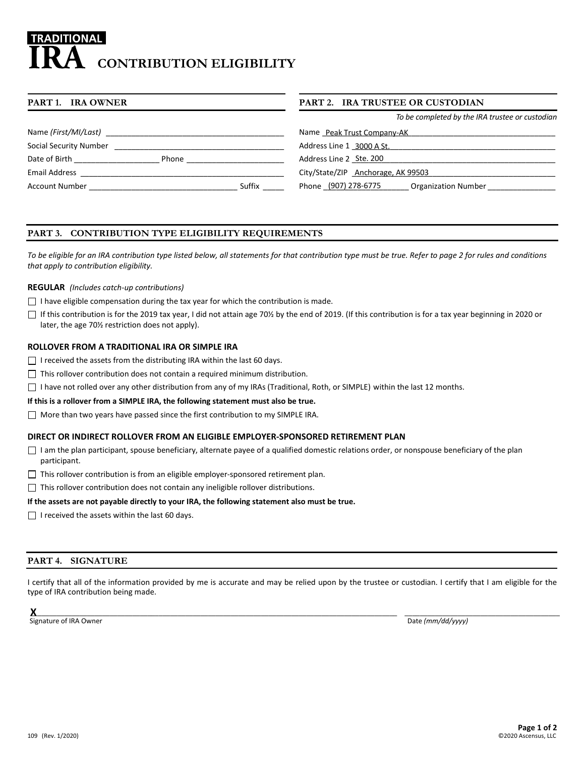# **RADITIONAL CONTRIBUTION ELIGIBILITY**

| PART 1. IRA OWNER      |       |        | PART 2. IRA TRUSTEE OR CUSTODIAN                   |  |
|------------------------|-------|--------|----------------------------------------------------|--|
|                        |       |        | To be completed by the IRA trustee or custodian    |  |
| Name (First/MI/Last)   |       |        | Name Peak Trust Company-AK                         |  |
| Social Security Number |       |        | Address Line 1 3000 A St.                          |  |
| Date of Birth          | Phone |        | Address Line 2 Ste. 200                            |  |
| <b>Email Address</b>   |       |        | City/State/ZIP Anchorage, AK 99503                 |  |
| <b>Account Number</b>  |       | Suffix | Phone (907) 278-6775<br><b>Organization Number</b> |  |

# **PART 3. CONTRIBUTION TYPE ELIGIBILITY REQUIREMENTS**

*To be eligible for an IRA contribution type listed below, all statements for that contribution type must be true. Refer to page 2 for rules and conditions that apply to contribution eligibility.*

#### **REGULAR** *(Includes catch-up contributions)*

- $\Box$  I have eligible compensation during the tax year for which the contribution is made.
- If this contribution is for the 2019 tax year, I did not attain age 70% by the end of 2019. (If this contribution is for a tax year beginning in 2020 or later, the age 70½ restriction does not apply).

## **ROLLOVER FROM A TRADITIONAL IRA OR SIMPLE IRA**

- $\Box$  I received the assets from the distributing IRA within the last 60 days.
- $\Box$  This rollover contribution does not contain a required minimum distribution.
- $\Box$  I have not rolled over any other distribution from any of my IRAs (Traditional, Roth, or SIMPLE) within the last 12 months.

#### **If this is a rollover from a SIMPLE IRA, the following statement must also be true.**

More than two years have passed since the first contribution to my SIMPLE IRA.

## **DIRECT OR INDIRECT ROLLOVER FROM AN ELIGIBLE EMPLOYER-SPONSORED RETIREMENT PLAN**

- $\Box$  I am the plan participant, spouse beneficiary, alternate payee of a qualified domestic relations order, or nonspouse beneficiary of the plan participant.
- $\Box$  This rollover contribution is from an eligible employer-sponsored retirement plan.
- $\Box$  This rollover contribution does not contain any ineligible rollover distributions.

#### **If the assets are not payable directly to your IRA, the following statement also must be true.**

 $\Box$  I received the assets within the last 60 days.

## **PART 4. SIGNATURE**

I certify that all of the information provided by me is accurate and may be relied upon by the trustee or custodian. I certify that I am eligible for the type of IRA contribution being made.

 ${\sf X}$  , and the contribution of the contribution of the contribution of the contribution of the contribution of the contribution of the contribution of the contribution of the contribution of the contribution of the cont **X**

Signature of IRA Owner **Date** *(mm/dd/yyyy)* **Date** *(mm/dd/yyyy)* Date **Date**